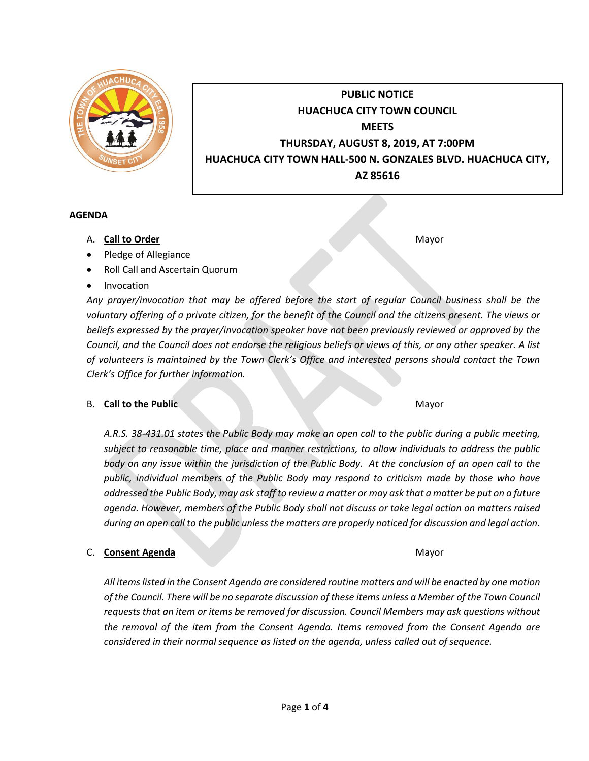

# **PUBLIC NOTICE HUACHUCA CITY TOWN COUNCIL MEETS THURSDAY, AUGUST 8, 2019, AT 7:00PM HUACHUCA CITY TOWN HALL-500 N. GONZALES BLVD. HUACHUCA CITY, AZ 85616**

# **AGENDA**

- A. **Call to Order** Mayor **Mayor**
- Pledge of Allegiance
- Roll Call and Ascertain Quorum
- Invocation

*Any prayer/invocation that may be offered before the start of regular Council business shall be the voluntary offering of a private citizen, for the benefit of the Council and the citizens present. The views or beliefs expressed by the prayer/invocation speaker have not been previously reviewed or approved by the Council, and the Council does not endorse the religious beliefs or views of this, or any other speaker. A list of volunteers is maintained by the Town Clerk's Office and interested persons should contact the Town Clerk's Office for further information.*

### **B.** Call to the Public Mayor

*A.R.S. 38-431.01 states the Public Body may make an open call to the public during a public meeting, subject to reasonable time, place and manner restrictions, to allow individuals to address the public body on any issue within the jurisdiction of the Public Body. At the conclusion of an open call to the public, individual members of the Public Body may respond to criticism made by those who have addressed the Public Body, may ask staff to review a matter or may ask that a matter be put on a future agenda. However, members of the Public Body shall not discuss or take legal action on matters raised during an open call to the public unless the matters are properly noticed for discussion and legal action.*

### C. **Consent Agenda** Mayor

*All items listed in the Consent Agenda are considered routine matters and will be enacted by one motion of the Council. There will be no separate discussion of these items unless a Member of the Town Council requests that an item or items be removed for discussion. Council Members may ask questions without the removal of the item from the Consent Agenda. Items removed from the Consent Agenda are considered in their normal sequence as listed on the agenda, unless called out of sequence.*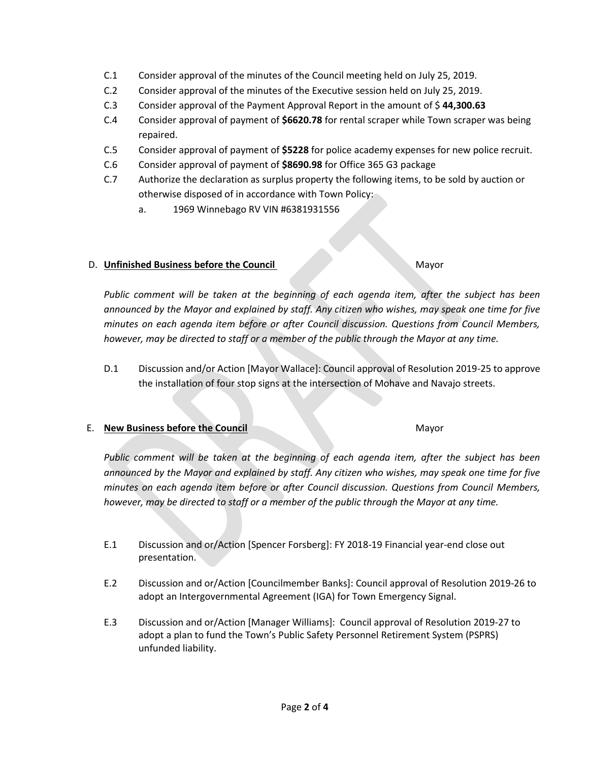- C.1 Consider approval of the minutes of the Council meeting held on July 25, 2019.
- C.2 Consider approval of the minutes of the Executive session held on July 25, 2019.
- C.3 Consider approval of the Payment Approval Report in the amount of \$ **44,300.63**
- C.4 Consider approval of payment of **\$6620.78** for rental scraper while Town scraper was being repaired.
- C.5 Consider approval of payment of **\$5228** for police academy expenses for new police recruit.
- C.6 Consider approval of payment of **\$8690.98** for Office 365 G3 package
- C.7 Authorize the declaration as surplus property the following items, to be sold by auction or otherwise disposed of in accordance with Town Policy:
	- a. 1969 Winnebago RV VIN #6381931556

# D. **Unfinished Business before the Council** Mayor

*Public comment will be taken at the beginning of each agenda item, after the subject has been announced by the Mayor and explained by staff. Any citizen who wishes, may speak one time for five minutes on each agenda item before or after Council discussion. Questions from Council Members, however, may be directed to staff or a member of the public through the Mayor at any time.*

D.1 Discussion and/or Action [Mayor Wallace]: Council approval of Resolution 2019-25 to approve the installation of four stop signs at the intersection of Mohave and Navajo streets.

### E. **New Business before the Council** Mayor

*Public comment will be taken at the beginning of each agenda item, after the subject has been announced by the Mayor and explained by staff. Any citizen who wishes, may speak one time for five minutes on each agenda item before or after Council discussion. Questions from Council Members, however, may be directed to staff or a member of the public through the Mayor at any time.*

- E.1 Discussion and or/Action [Spencer Forsberg]: FY 2018-19 Financial year-end close out presentation.
- E.2 Discussion and or/Action [Councilmember Banks]: Council approval of Resolution 2019-26 to adopt an Intergovernmental Agreement (IGA) for Town Emergency Signal.
- E.3 Discussion and or/Action [Manager Williams]: Council approval of Resolution 2019-27 to adopt a plan to fund the Town's Public Safety Personnel Retirement System (PSPRS) unfunded liability.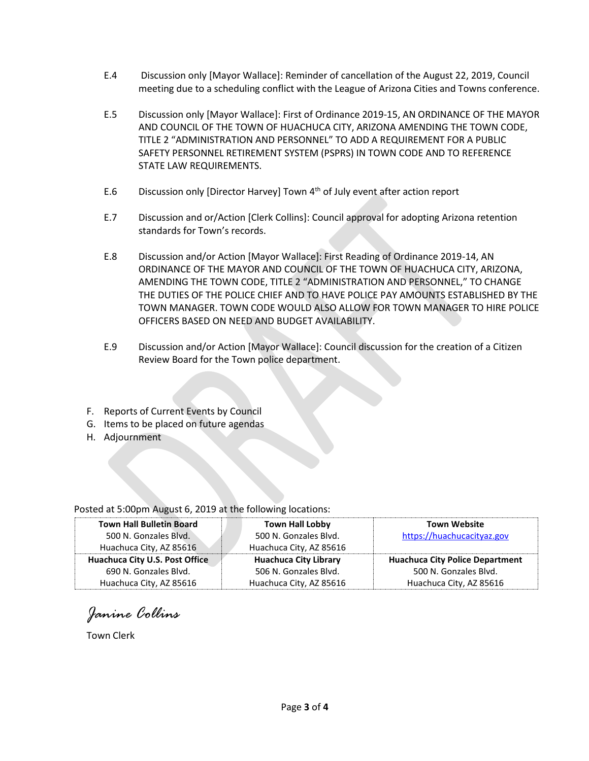- E.4 Discussion only [Mayor Wallace]: Reminder of cancellation of the August 22, 2019, Council meeting due to a scheduling conflict with the League of Arizona Cities and Towns conference.
- E.5 Discussion only [Mayor Wallace]: First of Ordinance 2019-15, AN ORDINANCE OF THE MAYOR AND COUNCIL OF THE TOWN OF HUACHUCA CITY, ARIZONA AMENDING THE TOWN CODE, TITLE 2 "ADMINISTRATION AND PERSONNEL" TO ADD A REQUIREMENT FOR A PUBLIC SAFETY PERSONNEL RETIREMENT SYSTEM (PSPRS) IN TOWN CODE AND TO REFERENCE STATE LAW REQUIREMENTS.
- E.6 Discussion only [Director Harvey] Town 4<sup>th</sup> of July event after action report
- E.7 Discussion and or/Action [Clerk Collins]: Council approval for adopting Arizona retention standards for Town's records.
- E.8 Discussion and/or Action [Mayor Wallace]: First Reading of Ordinance 2019-14, AN ORDINANCE OF THE MAYOR AND COUNCIL OF THE TOWN OF HUACHUCA CITY, ARIZONA, AMENDING THE TOWN CODE, TITLE 2 "ADMINISTRATION AND PERSONNEL," TO CHANGE THE DUTIES OF THE POLICE CHIEF AND TO HAVE POLICE PAY AMOUNTS ESTABLISHED BY THE TOWN MANAGER. TOWN CODE WOULD ALSO ALLOW FOR TOWN MANAGER TO HIRE POLICE OFFICERS BASED ON NEED AND BUDGET AVAILABILITY.
- E.9 Discussion and/or Action [Mayor Wallace]: Council discussion for the creation of a Citizen Review Board for the Town police department.
- F. Reports of Current Events by Council
- G. Items to be placed on future agendas
- H. Adjournment

### Posted at 5:00pm August 6, 2019 at the following locations:

| <b>Town Hall Bulletin Board</b> | <b>Town Hall Lobby</b>       | <b>Town Website</b>                    |
|---------------------------------|------------------------------|----------------------------------------|
| 500 N. Gonzales Blvd.           | 500 N. Gonzales Blvd.        | https://huachucacityaz.gov             |
| Huachuca City, AZ 85616         | Huachuca City, AZ 85616      |                                        |
| Huachuca City U.S. Post Office  | <b>Huachuca City Library</b> | <b>Huachuca City Police Department</b> |
| 690 N. Gonzales Blvd.           | 506 N. Gonzales Blvd.        | 500 N. Gonzales Blvd.                  |
| Huachuca City, AZ 85616         | Huachuca City, AZ 85616      | Huachuca City, AZ 85616                |

*Janine Collins*

Town Clerk